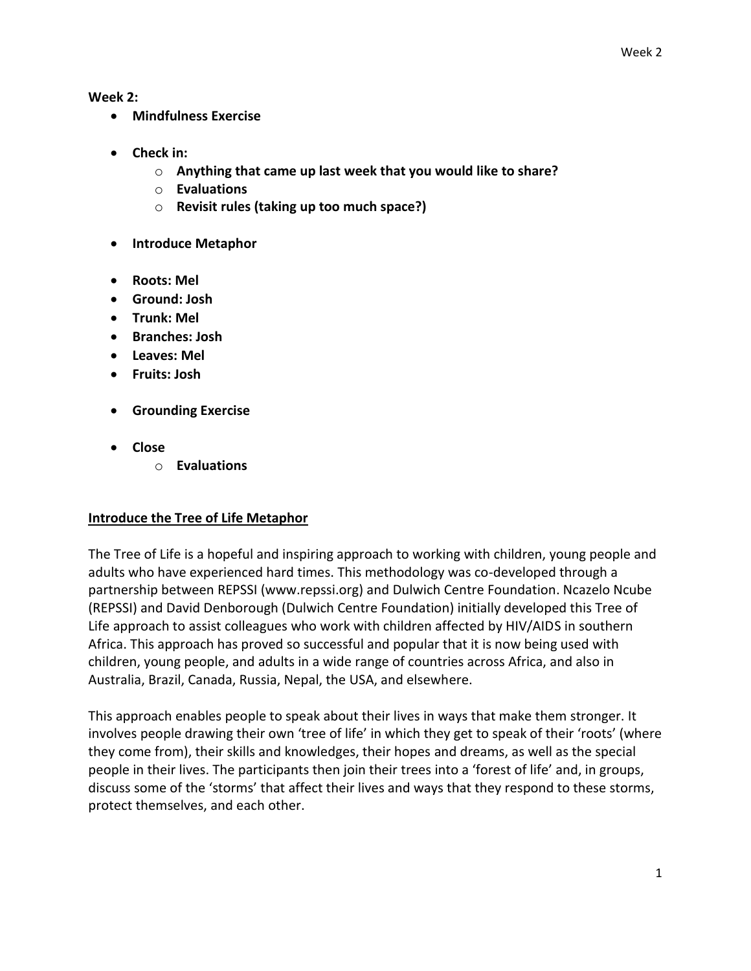**Week 2:**

- **Mindfulness Exercise**
- **Check in:**
	- o **Anything that came up last week that you would like to share?**
	- o **Evaluations**
	- o **Revisit rules (taking up too much space?)**
- **Introduce Metaphor**
- **Roots: Mel**
- **Ground: Josh**
- **Trunk: Mel**
- **Branches: Josh**
- **Leaves: Mel**
- **Fruits: Josh**
- **Grounding Exercise**
- **Close**
	- o **Evaluations**

#### **Introduce the Tree of Life Metaphor**

The Tree of Life is a hopeful and inspiring approach to working with children, young people and adults who have experienced hard times. This methodology was co-developed through a partnership between REPSSI (www.repssi.org) and Dulwich Centre Foundation. Ncazelo Ncube (REPSSI) and David Denborough (Dulwich Centre Foundation) initially developed this Tree of Life approach to assist colleagues who work with children affected by HIV/AIDS in southern Africa. This approach has proved so successful and popular that it is now being used with children, young people, and adults in a wide range of countries across Africa, and also in Australia, Brazil, Canada, Russia, Nepal, the USA, and elsewhere.

This approach enables people to speak about their lives in ways that make them stronger. It involves people drawing their own 'tree of life' in which they get to speak of their 'roots' (where they come from), their skills and knowledges, their hopes and dreams, as well as the special people in their lives. The participants then join their trees into a 'forest of life' and, in groups, discuss some of the 'storms' that affect their lives and ways that they respond to these storms, protect themselves, and each other.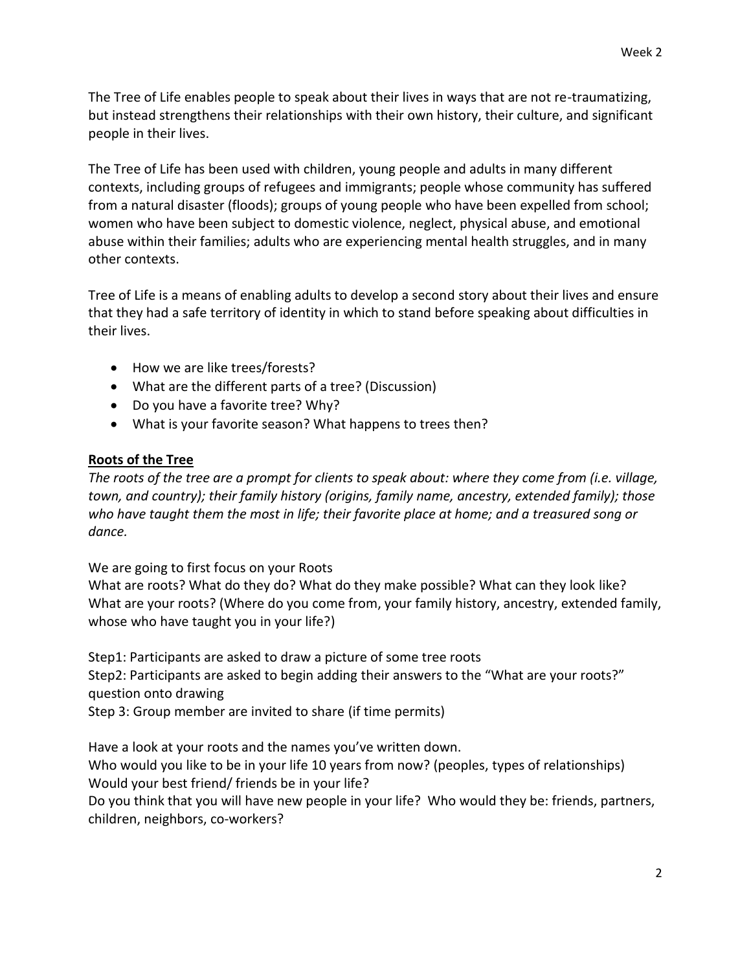The Tree of Life enables people to speak about their lives in ways that are not re-traumatizing, but instead strengthens their relationships with their own history, their culture, and significant people in their lives.

The Tree of Life has been used with children, young people and adults in many different contexts, including groups of refugees and immigrants; people whose community has suffered from a natural disaster (floods); groups of young people who have been expelled from school; women who have been subject to domestic violence, neglect, physical abuse, and emotional abuse within their families; adults who are experiencing mental health struggles, and in many other contexts.

Tree of Life is a means of enabling adults to develop a second story about their lives and ensure that they had a safe territory of identity in which to stand before speaking about difficulties in their lives.

- How we are like trees/forests?
- What are the different parts of a tree? (Discussion)
- Do you have a favorite tree? Why?
- What is your favorite season? What happens to trees then?

### **Roots of the Tree**

*The roots of the tree are a prompt for clients to speak about: where they come from (i.e. village, town, and country); their family history (origins, family name, ancestry, extended family); those who have taught them the most in life; their favorite place at home; and a treasured song or dance.*

We are going to first focus on your Roots

What are roots? What do they do? What do they make possible? What can they look like? What are your roots? (Where do you come from, your family history, ancestry, extended family, whose who have taught you in your life?)

Step1: Participants are asked to draw a picture of some tree roots Step2: Participants are asked to begin adding their answers to the "What are your roots?" question onto drawing Step 3: Group member are invited to share (if time permits)

Have a look at your roots and the names you've written down. Who would you like to be in your life 10 years from now? (peoples, types of relationships) Would your best friend/ friends be in your life? Do you think that you will have new people in your life? Who would they be: friends, partners,

children, neighbors, co-workers?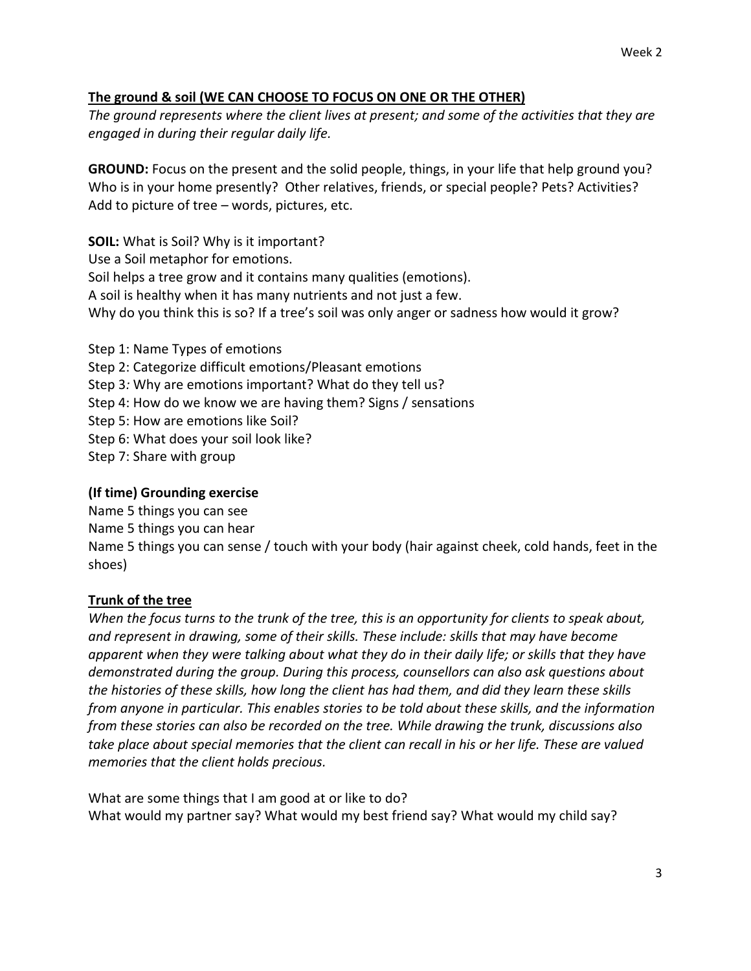## **The ground & soil (WE CAN CHOOSE TO FOCUS ON ONE OR THE OTHER)**

*The ground represents where the client lives at present; and some of the activities that they are engaged in during their regular daily life.*

**GROUND:** Focus on the present and the solid people, things, in your life that help ground you? Who is in your home presently? Other relatives, friends, or special people? Pets? Activities? Add to picture of tree – words, pictures, etc.

**SOIL:** What is Soil? Why is it important? Use a Soil metaphor for emotions. Soil helps a tree grow and it contains many qualities (emotions). A soil is healthy when it has many nutrients and not just a few. Why do you think this is so? If a tree's soil was only anger or sadness how would it grow?

Step 1: Name Types of emotions Step 2: Categorize difficult emotions/Pleasant emotions Step 3*:* Why are emotions important? What do they tell us? Step 4: How do we know we are having them? Signs / sensations Step 5: How are emotions like Soil? Step 6: What does your soil look like? Step 7: Share with group

# **(If time) Grounding exercise**

Name 5 things you can see Name 5 things you can hear Name 5 things you can sense / touch with your body (hair against cheek, cold hands, feet in the shoes)

# **Trunk of the tree**

*When the focus turns to the trunk of the tree, this is an opportunity for clients to speak about, and represent in drawing, some of their skills. These include: skills that may have become apparent when they were talking about what they do in their daily life; or skills that they have demonstrated during the group. During this process, counsellors can also ask questions about the histories of these skills, how long the client has had them, and did they learn these skills from anyone in particular. This enables stories to be told about these skills, and the information from these stories can also be recorded on the tree. While drawing the trunk, discussions also take place about special memories that the client can recall in his or her life. These are valued memories that the client holds precious.*

What are some things that I am good at or like to do? What would my partner say? What would my best friend say? What would my child say?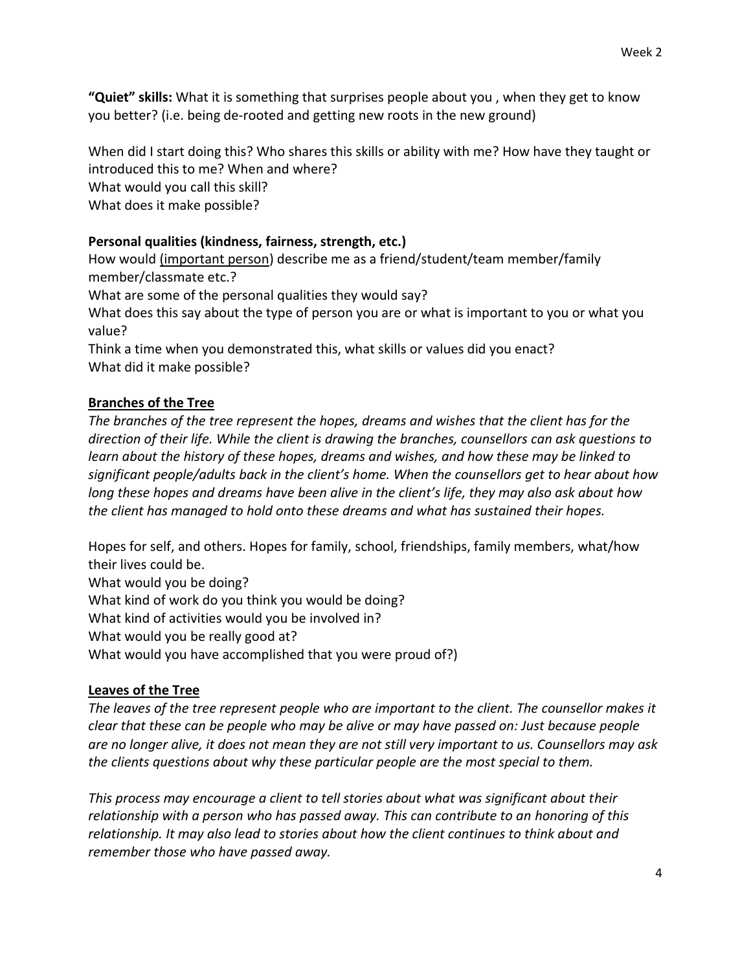**"Quiet" skills:** What it is something that surprises people about you , when they get to know you better? (i.e. being de-rooted and getting new roots in the new ground)

When did I start doing this? Who shares this skills or ability with me? How have they taught or introduced this to me? When and where? What would you call this skill? What does it make possible?

### **Personal qualities (kindness, fairness, strength, etc.)**

How would (important person) describe me as a friend/student/team member/family member/classmate etc.? What are some of the personal qualities they would say? What does this say about the type of person you are or what is important to you or what you value?

Think a time when you demonstrated this, what skills or values did you enact? What did it make possible?

#### **Branches of the Tree**

*The branches of the tree represent the hopes, dreams and wishes that the client has for the direction of their life. While the client is drawing the branches, counsellors can ask questions to learn about the history of these hopes, dreams and wishes, and how these may be linked to significant people/adults back in the client's home. When the counsellors get to hear about how long these hopes and dreams have been alive in the client's life, they may also ask about how the client has managed to hold onto these dreams and what has sustained their hopes.*

Hopes for self, and others. Hopes for family, school, friendships, family members, what/how their lives could be.

What would you be doing? What kind of work do you think you would be doing? What kind of activities would you be involved in? What would you be really good at? What would you have accomplished that you were proud of?)

### **Leaves of the Tree**

*The leaves of the tree represent people who are important to the client. The counsellor makes it clear that these can be people who may be alive or may have passed on: Just because people are no longer alive, it does not mean they are not still very important to us. Counsellors may ask the clients questions about why these particular people are the most special to them.* 

*This process may encourage a client to tell stories about what was significant about their relationship with a person who has passed away. This can contribute to an honoring of this relationship. It may also lead to stories about how the client continues to think about and remember those who have passed away.*